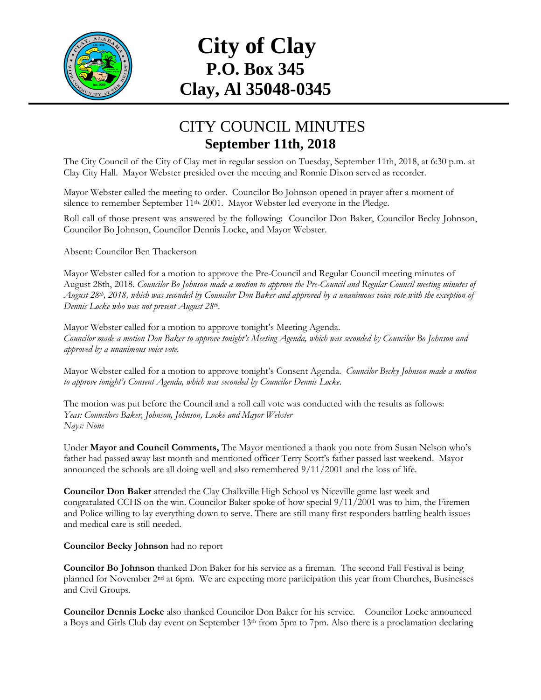

# **City of Clay P.O. Box 345 Clay, Al 35048-0345**

### CITY COUNCIL MINUTES **September 11th, 2018**

The City Council of the City of Clay met in regular session on Tuesday, September 11th, 2018, at 6:30 p.m. at Clay City Hall. Mayor Webster presided over the meeting and Ronnie Dixon served as recorder.

Mayor Webster called the meeting to order. Councilor Bo Johnson opened in prayer after a moment of silence to remember September 11<sup>th, 2001</sup>. Mayor Webster led everyone in the Pledge.

Roll call of those present was answered by the following: Councilor Don Baker, Councilor Becky Johnson, Councilor Bo Johnson, Councilor Dennis Locke, and Mayor Webster.

Absent: Councilor Ben Thackerson

Mayor Webster called for a motion to approve the Pre-Council and Regular Council meeting minutes of August 28th, 2018. *Councilor Bo Johnson made a motion to approve the Pre-Council and Regular Council meeting minutes of August 28th , 2018, which was seconded by Councilor Don Baker and approved by a unanimous voice vote with the exception of Dennis Locke who was not present August 28th .*

Mayor Webster called for a motion to approve tonight's Meeting Agenda. *Councilor made a motion Don Baker to approve tonight's Meeting Agenda, which was seconded by Councilor Bo Johnson and approved by a unanimous voice vote.*

Mayor Webster called for a motion to approve tonight's Consent Agenda. *Councilor Becky Johnson made a motion to approve tonight's Consent Agenda, which was seconded by Councilor Dennis Locke.*

The motion was put before the Council and a roll call vote was conducted with the results as follows: *Yeas: Councilors Baker, Johnson, Johnson, Locke and Mayor Webster Nays: None*

Under **Mayor and Council Comments,** The Mayor mentioned a thank you note from Susan Nelson who's father had passed away last month and mentioned officer Terry Scott's father passed last weekend. Mayor announced the schools are all doing well and also remembered 9/11/2001 and the loss of life.

**Councilor Don Baker** attended the Clay Chalkville High School vs Niceville game last week and congratulated CCHS on the win. Councilor Baker spoke of how special 9/11/2001 was to him, the Firemen and Police willing to lay everything down to serve. There are still many first responders battling health issues and medical care is still needed.

#### **Councilor Becky Johnson** had no report

**Councilor Bo Johnson** thanked Don Baker for his service as a fireman. The second Fall Festival is being planned for November 2nd at 6pm. We are expecting more participation this year from Churches, Businesses and Civil Groups.

**Councilor Dennis Locke** also thanked Councilor Don Baker for his service. Councilor Locke announced a Boys and Girls Club day event on September 13th from 5pm to 7pm. Also there is a proclamation declaring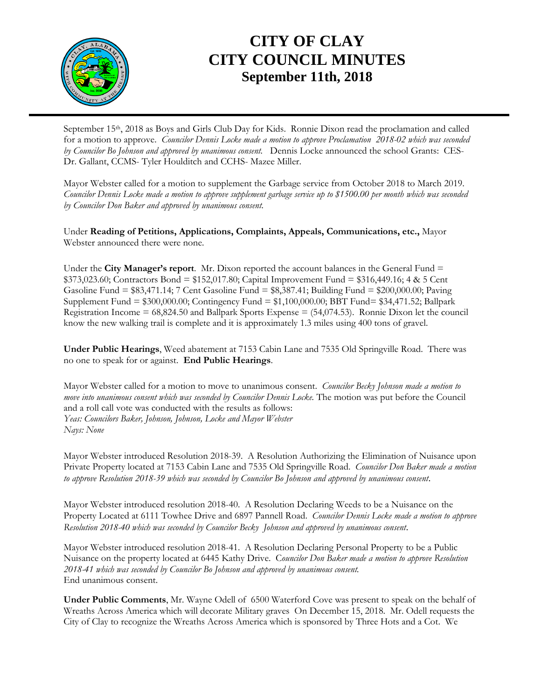

## **CITY OF CLAY CITY COUNCIL MINUTES September 11th, 2018**

September 15th, 2018 as Boys and Girls Club Day for Kids. Ronnie Dixon read the proclamation and called for a motion to approve. *Councilor Dennis Locke made a motion to approve Proclamation 2018-02 which was seconded by Councilor Bo Johnson and approved by unanimous consent.* Dennis Locke announced the school Grants: CES-Dr. Gallant, CCMS- Tyler Houlditch and CCHS- Mazee Miller.

Mayor Webster called for a motion to supplement the Garbage service from October 2018 to March 2019. *Councilor Dennis Locke made a motion to approve supplement garbage service up to \$1500.00 per month which was seconded by Councilor Don Baker and approved by unanimous consent.*

Under **Reading of Petitions, Applications, Complaints, Appeals, Communications, etc.,** Mayor Webster announced there were none.

Under the **City Manager's report**. Mr. Dixon reported the account balances in the General Fund = \$373,023.60; Contractors Bond = \$152,017.80; Capital Improvement Fund = \$316,449.16; 4 & 5 Cent Gasoline Fund = \$83,471.14; 7 Cent Gasoline Fund = \$8,387.41; Building Fund = \$200,000.00; Paving Supplement Fund = \$300,000.00; Contingency Fund = \$1,100,000.00; BBT Fund= \$34,471.52; Ballpark Registration Income  $= 68,824.50$  and Ballpark Sports Expense  $= (54,074.53)$ . Ronnie Dixon let the council know the new walking trail is complete and it is approximately 1.3 miles using 400 tons of gravel.

**Under Public Hearings**, Weed abatement at 7153 Cabin Lane and 7535 Old Springville Road. There was no one to speak for or against. **End Public Hearings**.

Mayor Webster called for a motion to move to unanimous consent. *Councilor Becky Johnson made a motion to move into unanimous consent which was seconded by Councilor Dennis Locke.* The motion was put before the Council and a roll call vote was conducted with the results as follows: *Yeas: Councilors Baker, Johnson, Johnson, Locke and Mayor Webster Nays: None*

Mayor Webster introduced Resolution 2018-39. A Resolution Authorizing the Elimination of Nuisance upon Private Property located at 7153 Cabin Lane and 7535 Old Springville Road. *Councilor Don Baker made a motion to approve Resolution 2018-39 which was seconded by Councilor Bo Johnson and approved by unanimous consent*.

Mayor Webster introduced resolution 2018-40. A Resolution Declaring Weeds to be a Nuisance on the Property Located at 6111 Towhee Drive and 6897 Pannell Road. *Councilor Dennis Locke made a motion to approve Resolution 2018-40 which was seconded by Councilor Becky Johnson and approved by unanimous consent*.

Mayor Webster introduced resolution 2018-41. A Resolution Declaring Personal Property to be a Public Nuisance on the property located at 6445 Kathy Drive. C*ouncilor Don Baker made a motion to approve Resolution 2018-41 which was seconded by Councilor Bo Johnson and approved by unanimous consent.* End unanimous consent.

**Under Public Comments**, Mr. Wayne Odell of 6500 Waterford Cove was present to speak on the behalf of Wreaths Across America which will decorate Military graves On December 15, 2018. Mr. Odell requests the City of Clay to recognize the Wreaths Across America which is sponsored by Three Hots and a Cot. We